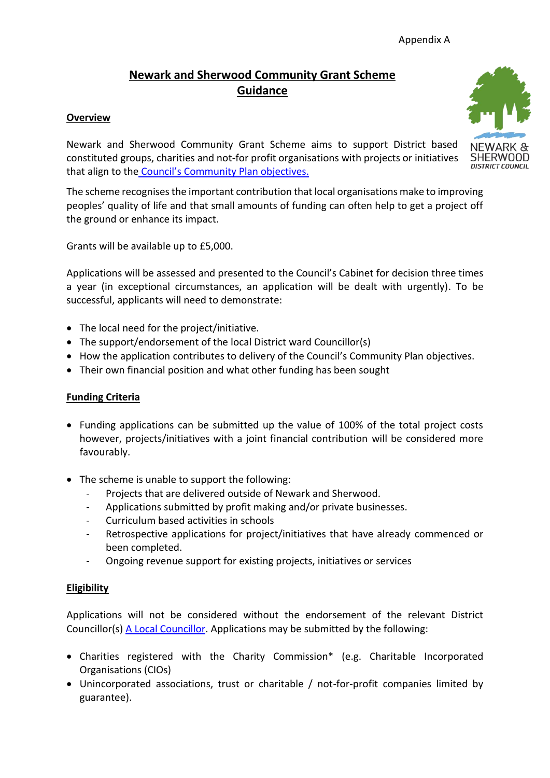# **Newark and Sherwood Community Grant Scheme Guidance**

### **Overview**

Newark and Sherwood Community Grant Scheme aims to support District based constituted groups, charities and not-for profit organisations with projects or initiatives that align to the [Council's Community Plan objectives.](https://www.newark-sherwooddc.gov.uk/councilpriorities/)

The scheme recognises the important contribution that local organisations make to improving peoples' quality of life and that small amounts of funding can often help to get a project off the ground or enhance its impact.

Grants will be available up to £5,000.

Applications will be assessed and presented to the Council's Cabinet for decision three times a year (in exceptional circumstances, an application will be dealt with urgently). To be successful, applicants will need to demonstrate:

- The local need for the project/initiative.
- The support/endorsement of the local District ward Councillor(s)
- How the application contributes to delivery of the Council's Community Plan objectives.
- Their own financial position and what other funding has been sought

#### **Funding Criteria**

- Funding applications can be submitted up the value of 100% of the total project costs however, projects/initiatives with a joint financial contribution will be considered more favourably.
- The scheme is unable to support the following:
	- Projects that are delivered outside of Newark and Sherwood.
	- Applications submitted by profit making and/or private businesses.
	- Curriculum based activities in schools
	- Retrospective applications for project/initiatives that have already commenced or been completed.
	- Ongoing revenue support for existing projects, initiatives or services

#### **Eligibility**

Applications will not be considered without the endorsement of the relevant District Councillor(s) [A Local Councillor.](https://democracy.newark-sherwooddc.gov.uk/mgMemberIndex.aspx?bcr=1) Applications may be submitted by the following:

- Charities registered with the Charity Commission\* (e.g. Charitable Incorporated Organisations (CIOs)
- Unincorporated associations, trust or charitable / not-for-profit companies limited by guarantee).



SHFRWNNN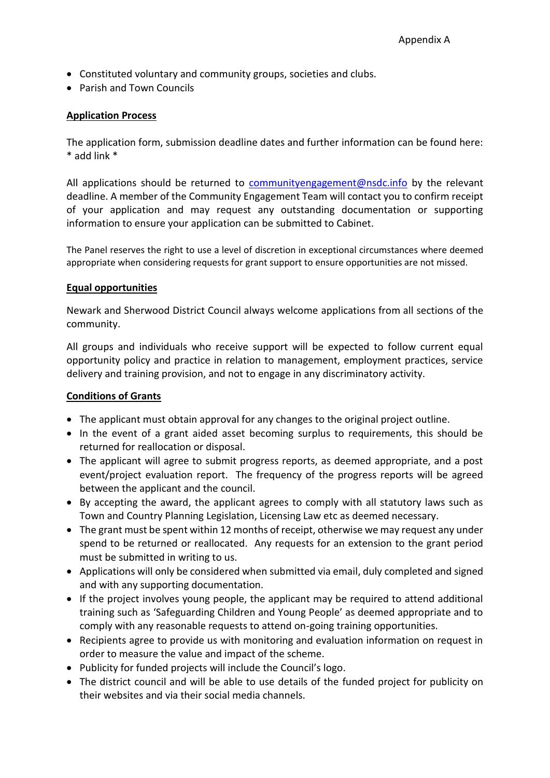- Constituted voluntary and community groups, societies and clubs.
- Parish and Town Councils

#### **Application Process**

The application form, submission deadline dates and further information can be found here: \* add link \*

All applications should be returned to [communityengagement@nsdc.info](mailto:communityengagement@nsdc.info) by the relevant deadline. A member of the Community Engagement Team will contact you to confirm receipt of your application and may request any outstanding documentation or supporting information to ensure your application can be submitted to Cabinet.

The Panel reserves the right to use a level of discretion in exceptional circumstances where deemed appropriate when considering requests for grant support to ensure opportunities are not missed.

#### **Equal opportunities**

Newark and Sherwood District Council always welcome applications from all sections of the community.

All groups and individuals who receive support will be expected to follow current equal opportunity policy and practice in relation to management, employment practices, service delivery and training provision, and not to engage in any discriminatory activity.

#### **Conditions of Grants**

- The applicant must obtain approval for any changes to the original project outline.
- In the event of a grant aided asset becoming surplus to requirements, this should be returned for reallocation or disposal.
- The applicant will agree to submit progress reports, as deemed appropriate, and a post event/project evaluation report. The frequency of the progress reports will be agreed between the applicant and the council.
- By accepting the award, the applicant agrees to comply with all statutory laws such as Town and Country Planning Legislation, Licensing Law etc as deemed necessary.
- The grant must be spent within 12 months of receipt, otherwise we may request any under spend to be returned or reallocated. Any requests for an extension to the grant period must be submitted in writing to us.
- Applications will only be considered when submitted via email, duly completed and signed and with any supporting documentation.
- If the project involves young people, the applicant may be required to attend additional training such as 'Safeguarding Children and Young People' as deemed appropriate and to comply with any reasonable requests to attend on-going training opportunities.
- Recipients agree to provide us with monitoring and evaluation information on request in order to measure the value and impact of the scheme.
- Publicity for funded projects will include the Council's logo.
- The district council and will be able to use details of the funded project for publicity on their websites and via their social media channels.